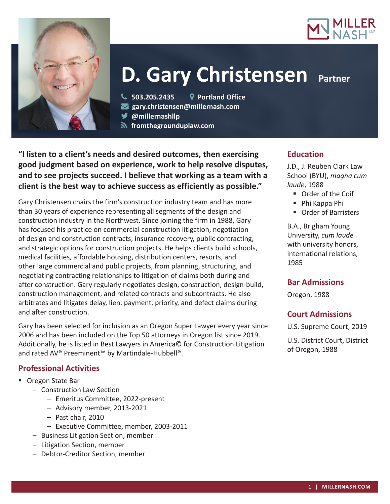



# **D. Gary Christensen Partner**

**503.205.2435 Portland Office**

**gary.christensen@millernash.com** 

**@millernashllp** 

 **fromthegrounduplaw.com**

**"I listen to a client's needs and desired outcomes, then exercising good judgment based on experience, work to help resolve disputes, and to see projects succeed. I believe that working as a team with a client is the best way to achieve success as efficiently as possible."**

Gary Christensen chairs the firm's construction industry team and has more than 30 years of experience representing all segments of the design and construction industry in the Northwest. Since joining the firm in 1988, Gary has focused his practice on commercial construction litigation, negotiation of design and construction contracts, insurance recovery, public contracting, and strategic options for construction projects. He helps clients build schools, medical facilities, affordable housing, distribution centers, resorts, and other large commercial and public projects, from planning, structuring, and negotiating contracting relationships to litigation of claims both during and after construction. Gary regularly negotiates design, construction, design-build, construction management, and related contracts and subcontracts. He also arbitrates and litigates delay, lien, payment, priority, and defect claims during and after construction.

Gary has been selected for inclusion as an Oregon Super Lawyer every year since 2006 and has been included on the Top 50 attorneys in Oregon list since 2019. Additionally, he is listed in Best Lawyers in America© for Construction Litigation and rated AV® Preeminent™ by Martindale-Hubbell®.

# **Professional Activities**

- Oregon State Bar
	- Construction Law Section
		- Emeritus Committee, 2022-present
		- Advisory member, 2013-2021
		- Past chair, 2010
		- Executive Committee, member, 2003-2011
	- Business Litigation Section, member
	- Litigation Section, member
	- Debtor-Creditor Section, member

## **Education**

J.D., J. Reuben Clark Law School (BYU), *magna cum laude*, 1988

- Order of the Coif
- Phi Kappa Phi
- Order of Barristers

B.A., Brigham Young University, *cum laude* with university honors, international relations, 1985

## **Bar Admissions**

Oregon, 1988

## **Court Admissions**

U.S. Supreme Court, 2019

U.S. District Court, District of Oregon, 1988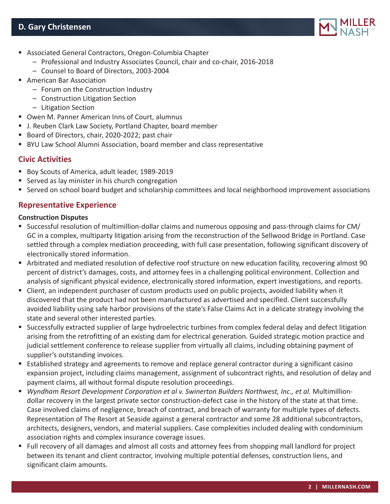# **D. Gary Christensen**



- Associated General Contractors, Oregon-Columbia Chapter
	- Professional and Industry Associates Council, chair and co-chair, 2016-2018
	- Counsel to Board of Directors, 2003-2004
- **American Bar Association** 
	- Forum on the Construction Industry
	- Construction Litigation Section
	- Litigation Section
- Owen M. Panner American Inns of Court, alumnus
- J. Reuben Clark Law Society, Portland Chapter, board member
- Board of Directors, chair, 2020-2022; past chair
- BYU Law School Alumni Association, board member and class representative

## **Civic Activities**

- Boy Scouts of America, adult leader, 1989-2019
- Served as lay minister in his church congregation
- Served on school board budget and scholarship committees and local neighborhood improvement associations

## **Representative Experience**

#### **Construction Disputes**

- Successful resolution of multimillion-dollar claims and numerous opposing and pass-through claims for CM/ GC in a complex, multiparty litigation arising from the reconstruction of the Sellwood Bridge in Portland. Case settled through a complex mediation proceeding, with full case presentation, following significant discovery of electronically stored information.
- Arbitrated and mediated resolution of defective roof structure on new education facility, recovering almost 90 percent of district's damages, costs, and attorney fees in a challenging political environment. Collection and analysis of significant physical evidence, electronically stored information, expert investigations, and reports.
- Client, an independent purchaser of custom products used on public projects, avoided liability when it discovered that the product had not been manufactured as advertised and specified. Client successfully avoided liability using safe harbor provisions of the state's False Claims Act in a delicate strategy involving the state and several other interested parties.
- Successfully extracted supplier of large hydroelectric turbines from complex federal delay and defect litigation arising from the retrofitting of an existing dam for electrical generation. Guided strategic motion practice and judicial settlement conference to release supplier from virtually all claims, including obtaining payment of supplier's outstanding invoices.
- Established strategy and agreements to remove and replace general contractor during a significant casino expansion project, including claims management, assignment of subcontract rights, and resolution of delay and payment claims, all without formal dispute resolution proceedings.
- *Wyndham Resort Development Corporation et al v. Swinerton Builders Northwest, Inc., et al.* Multimilliondollar recovery in the largest private sector construction-defect case in the history of the state at that time. Case involved claims of negligence, breach of contract, and breach of warranty for multiple types of defects. Representation of The Resort at Seaside against a general contractor and some 28 additional subcontractors, architects, designers, vendors, and material suppliers. Case complexities included dealing with condominium association rights and complex insurance coverage issues.
- Full recovery of all damages and almost all costs and attorney fees from shopping mall landlord for project between its tenant and client contractor, involving multiple potential defenses, construction liens, and significant claim amounts.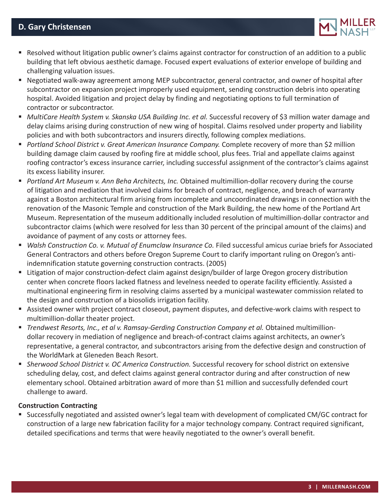

- Resolved without litigation public owner's claims against contractor for construction of an addition to a public building that left obvious aesthetic damage. Focused expert evaluations of exterior envelope of building and challenging valuation issues.
- Negotiated walk-away agreement among MEP subcontractor, general contractor, and owner of hospital after subcontractor on expansion project improperly used equipment, sending construction debris into operating hospital. Avoided litigation and project delay by finding and negotiating options to full termination of contractor or subcontractor.
- *MultiCare Health System v. Skanska USA Building Inc. et al.* Successful recovery of \$3 million water damage and delay claims arising during construction of new wing of hospital. Claims resolved under property and liability policies and with both subcontractors and insurers directly, following complex mediations.
- **Portland School District v. Great American Insurance Company. Complete recovery of more than \$2 million** building damage claim caused by roofing fire at middle school, plus fees. Trial and appellate claims against roofing contractor's excess insurance carrier, including successful assignment of the contractor's claims against its excess liability insurer.
- *Portland Art Museum v. Ann Beha Architects, Inc.* Obtained multimillion-dollar recovery during the course of litigation and mediation that involved claims for breach of contract, negligence, and breach of warranty against a Boston architectural firm arising from incomplete and uncoordinated drawings in connection with the renovation of the Masonic Temple and construction of the Mark Building, the new home of the Portland Art Museum. Representation of the museum additionally included resolution of multimillion-dollar contractor and subcontractor claims (which were resolved for less than 30 percent of the principal amount of the claims) and avoidance of payment of any costs or attorney fees.
- *Walsh Construction Co. v. Mutual of Enumclaw Insurance Co.* Filed successful amicus curiae briefs for Associated General Contractors and others before Oregon Supreme Court to clarify important ruling on Oregon's antiindemnification statute governing construction contracts. (2005)
- Litigation of major construction-defect claim against design/builder of large Oregon grocery distribution center when concrete floors lacked flatness and levelness needed to operate facility efficiently. Assisted a multinational engineering firm in resolving claims asserted by a municipal wastewater commission related to the design and construction of a biosolids irrigation facility.
- Assisted owner with project contract closeout, payment disputes, and defective-work claims with respect to multimillion-dollar theater project.
- **Trendwest Resorts, Inc., et al v. Ramsay-Gerding Construction Company et al. Obtained multimillion**dollar recovery in mediation of negligence and breach-of-contract claims against architects, an owner's representative, a general contractor, and subcontractors arising from the defective design and construction of the WorldMark at Gleneden Beach Resort.
- **Sherwood School District v. OC America Construction. Successful recovery for school district on extensive** scheduling delay, cost, and defect claims against general contractor during and after construction of new elementary school. Obtained arbitration award of more than \$1 million and successfully defended court challenge to award.

#### **Construction Contracting**

 Successfully negotiated and assisted owner's legal team with development of complicated CM/GC contract for construction of a large new fabrication facility for a major technology company. Contract required significant, detailed specifications and terms that were heavily negotiated to the owner's overall benefit.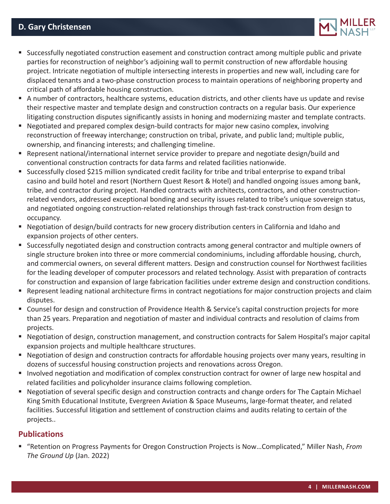

- Successfully negotiated construction easement and construction contract among multiple public and private parties for reconstruction of neighbor's adjoining wall to permit construction of new affordable housing project. Intricate negotiation of multiple intersecting interests in properties and new wall, including care for displaced tenants and a two-phase construction process to maintain operations of neighboring property and critical path of affordable housing construction.
- A number of contractors, healthcare systems, education districts, and other clients have us update and revise their respective master and template design and construction contracts on a regular basis. Our experience litigating construction disputes significantly assists in honing and modernizing master and template contracts.
- Negotiated and prepared complex design-build contracts for major new casino complex, involving reconstruction of freeway interchange; construction on tribal, private, and public land; multiple public, ownership, and financing interests; and challenging timeline.
- Represent national/international internet service provider to prepare and negotiate design/build and conventional construction contracts for data farms and related facilities nationwide.
- Successfully closed \$215 million syndicated credit facility for tribe and tribal enterprise to expand tribal casino and build hotel and resort (Northern Quest Resort & Hotel) and handled ongoing issues among bank, tribe, and contractor during project. Handled contracts with architects, contractors, and other constructionrelated vendors, addressed exceptional bonding and security issues related to tribe's unique sovereign status, and negotiated ongoing construction-related relationships through fast-track construction from design to occupancy.
- Negotiation of design/build contracts for new grocery distribution centers in California and Idaho and expansion projects of other centers.
- Successfully negotiated design and construction contracts among general contractor and multiple owners of single structure broken into three or more commercial condominiums, including affordable housing, church, and commercial owners, on several different matters. Design and construction counsel for Northwest facilities for the leading developer of computer processors and related technology. Assist with preparation of contracts for construction and expansion of large fabrication facilities under extreme design and construction conditions.
- Represent leading national architecture firms in contract negotiations for major construction projects and claim disputes.
- Counsel for design and construction of Providence Health & Service's capital construction projects for more than 25 years. Preparation and negotiation of master and individual contracts and resolution of claims from projects.
- Negotiation of design, construction management, and construction contracts for Salem Hospital's major capital expansion projects and multiple healthcare structures.
- Negotiation of design and construction contracts for affordable housing projects over many years, resulting in dozens of successful housing construction projects and renovations across Oregon.
- Involved negotiation and modification of complex construction contract for owner of large new hospital and related facilities and policyholder insurance claims following completion.
- Negotiation of several specific design and construction contracts and change orders for The Captain Michael King Smith Educational Institute, Evergreen Aviation & Space Museums, large-format theater, and related facilities. Successful litigation and settlement of construction claims and audits relating to certain of the projects..

## **Publications**

■ "Retention on Progress Payments for Oregon Construction Projects is Now...Complicated," Miller Nash, *From The Ground Up* (Jan. 2022)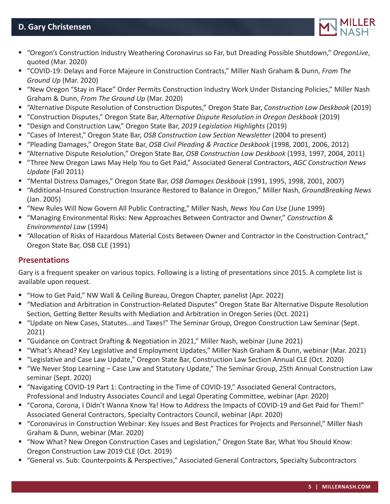

- "Oregon's Construction Industry Weathering Coronavirus so Far, but Dreading Possible Shutdown," *OregonLive*, quoted (Mar. 2020)
- "COVID-19: Delays and Force Majeure in Construction Contracts," Miller Nash Graham & Dunn, *From The Ground Up* (Mar. 2020)
- "New Oregon "Stay in Place" Order Permits Construction Industry Work Under Distancing Policies," Miller Nash Graham & Dunn, *From The Ground Up* (Mar. 2020)
- "Alternative Dispute Resolution of Construction Disputes," Oregon State Bar, *Construction Law Deskbook* (2019)
- "Construction Disputes," Oregon State Bar, *Alternative Dispute Resolution in Oregon Deskbook* (2019)
- "Design and Construction Law," Oregon State Bar, *2019 Legislation Highlights* (2019)
- "Cases of Interest," Oregon State Bar, *OSB Construction Law Section Newsletter* (2004 to present)
- "Pleading Damages," Oregon State Bar, *OSB Civil Pleading & Practice Deskbook* (1998, 2001, 2006, 2012)
- "Alternative Dispute Resolution," Oregon State Bar, *OSB Construction Law Deskbook* (1993, 1997, 2004, 2011)
- "Three New Oregon Laws May Help You to Get Paid," Associated General Contractors, *AGC Construction News Update* (Fall 2011)
- "Mental Distress Damages," Oregon State Bar, *OSB Damages Deskbook* (1991, 1995, 1998, 2001, 2007)
- "Additional-Insured Construction Insurance Restored to Balance in Oregon," Miller Nash, *GroundBreaking News*  (Jan. 2005)
- "New Rules Will Now Govern All Public Contracting," Miller Nash, *News You Can Use* (June 1999)
- "Managing Environmental Risks: New Approaches Between Contractor and Owner," *Construction & Environmental Law* (1994)
- "Allocation of Risks of Hazardous Material Costs Between Owner and Contractor in the Construction Contract," Oregon State Bar, OSB CLE (1991)

# **Presentations**

Gary is a frequent speaker on various topics. Following is a listing of presentations since 2015. A complete list is available upon request.

- "How to Get Paid," NW Wall & Ceiling Bureau, Oregon Chapter, panelist (Apr. 2022)
- "Mediation and Arbitration in Construction-Related Disputes" Oregon State Bar Alternative Dispute Resolution Section, Getting Better Results with Mediation and Arbitration in Oregon Series (Oct. 2021)
- "Update on New Cases, Statutes...and Taxes!" The Seminar Group, Oregon Construction Law Seminar (Sept. 2021)
- "Guidance on Contract Drafting & Negotiation in 2021," Miller Nash, webinar (June 2021)
- "What's Ahead? Key Legislative and Employment Updates," Miller Nash Graham & Dunn, webinar (Mar. 2021)
- "Legislative and Case Law Update," Oregon State Bar, Construction Law Section Annual CLE (Oct. 2020)
- "We Never Stop Learning Case Law and Statutory Update," The Seminar Group, 25th Annual Construction Law seminar (Sept. 2020)
- "Navigating COVID-19 Part 1: Contracting in the Time of COVID-19," Associated General Contractors, Professional and Industry Associates Council and Legal Operating Committee, webinar (Apr. 2020)
- "Corona, Corona, I Didn't Wanna Know Ya! How to Address the Impacts of COVID-19 and Get Paid for Them!" Associated General Contractors, Specialty Contractors Council, webinar (Apr. 2020)
- "Coronavirus in Construction Webinar: Key Issues and Best Practices for Projects and Personnel," Miller Nash Graham & Dunn, webinar (Mar. 2020)
- "Now What? New Oregon Construction Cases and Legislation," Oregon State Bar, What You Should Know: Oregon Construction Law 2019 CLE (Oct. 2019)
- "General vs. Sub: Counterpoints & Perspectives," Associated General Contractors, Specialty Subcontractors